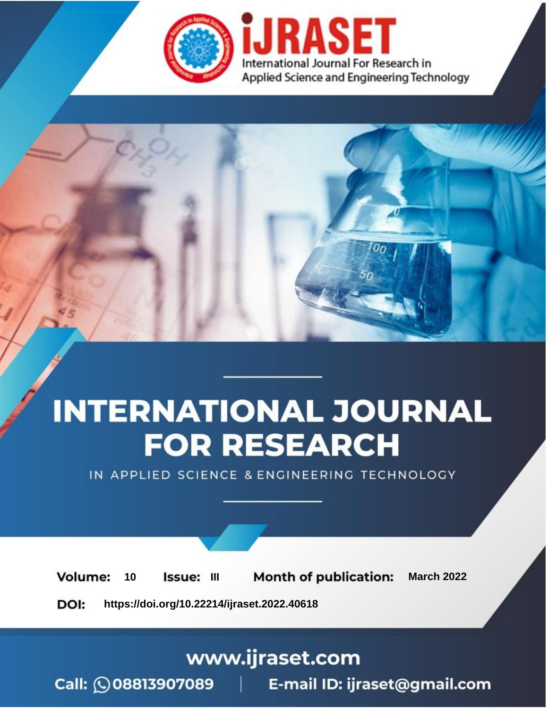

# **INTERNATIONAL JOURNAL FOR RESEARCH**

IN APPLIED SCIENCE & ENGINEERING TECHNOLOGY

10 **Issue: III Month of publication:** March 2022 **Volume:** 

**https://doi.org/10.22214/ijraset.2022.40618**DOI:

www.ijraset.com

Call: 008813907089 | E-mail ID: ijraset@gmail.com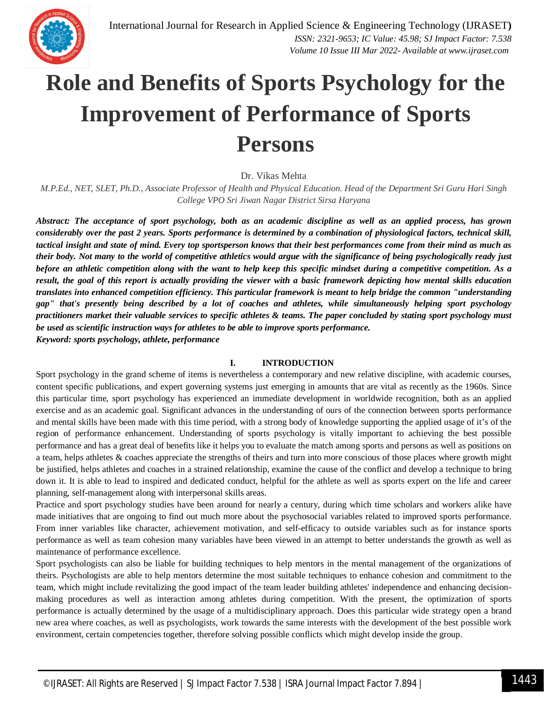

# **Role and Benefits of Sports Psychology for the Improvement of Performance of Sports Persons**

Dr. Vikas Mehta

*M.P.Ed., NET, SLET, Ph.D., Associate Professor of Health and Physical Education. Head of the Department Sri Guru Hari Singh College VPO Sri Jiwan Nagar District Sirsa Haryana*

*Abstract: The acceptance of sport psychology, both as an academic discipline as well as an applied process, has grown considerably over the past 2 years. Sports performance is determined by a combination of physiological factors, technical skill, tactical insight and state of mind. Every top sportsperson knows that their best performances come from their mind as much as their body. Not many to the world of competitive athletics would argue with the significance of being psychologically ready just before an athletic competition along with the want to help keep this specific mindset during a competitive competition. As a result, the goal of this report is actually providing the viewer with a basic framework depicting how mental skills education translates into enhanced competition efficiency. This particular framework is meant to help bridge the common "understanding gap" that's presently being described by a lot of coaches and athletes, while simultaneously helping sport psychology practitioners market their valuable services to specific athletes & teams. The paper concluded by stating sport psychology must be used as scientific instruction ways for athletes to be able to improve sports performance. Keyword: sports psychology, athlete, performance*

### **I. INTRODUCTION**

Sport psychology in the grand scheme of items is nevertheless a contemporary and new relative discipline, with academic courses, content specific publications, and expert governing systems just emerging in amounts that are vital as recently as the 1960s. Since this particular time, sport psychology has experienced an immediate development in worldwide recognition, both as an applied exercise and as an academic goal. Significant advances in the understanding of ours of the connection between sports performance and mental skills have been made with this time period, with a strong body of knowledge supporting the applied usage of it's of the region of performance enhancement. Understanding of sports psychology is vitally important to achieving the best possible performance and has a great deal of benefits like it helps you to evaluate the match among sports and persons as well as positions on a team, helps athletes & coaches appreciate the strengths of theirs and turn into more conscious of those places where growth might be justified, helps athletes and coaches in a strained relationship, examine the cause of the conflict and develop a technique to bring down it. It is able to lead to inspired and dedicated conduct, helpful for the athlete as well as sports expert on the life and career planning, self-management along with interpersonal skills areas.

Practice and sport psychology studies have been around for nearly a century, during which time scholars and workers alike have made initiatives that are ongoing to find out much more about the psychosocial variables related to improved sports performance. From inner variables like character, achievement motivation, and self-efficacy to outside variables such as for instance sports performance as well as team cohesion many variables have been viewed in an attempt to better understands the growth as well as maintenance of performance excellence.

Sport psychologists can also be liable for building techniques to help mentors in the mental management of the organizations of theirs. Psychologists are able to help mentors determine the most suitable techniques to enhance cohesion and commitment to the team, which might include revitalizing the good impact of the team leader building athletes' independence and enhancing decisionmaking procedures as well as interaction among athletes during competition. With the present, the optimization of sports performance is actually determined by the usage of a multidisciplinary approach. Does this particular wide strategy open a brand new area where coaches, as well as psychologists, work towards the same interests with the development of the best possible work environment, certain competencies together, therefore solving possible conflicts which might develop inside the group.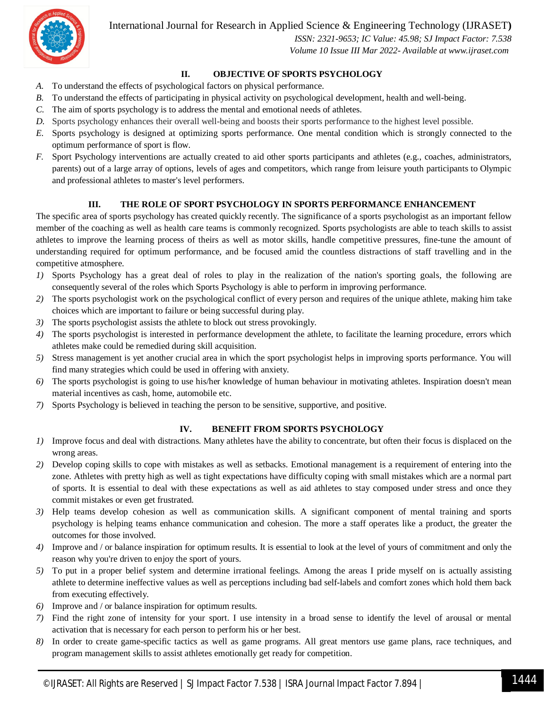International Journal for Research in Applied Science & Engineering Technology (IJRASET**)**



 *ISSN: 2321-9653; IC Value: 45.98; SJ Impact Factor: 7.538 Volume 10 Issue III Mar 2022- Available at www.ijraset.com*

### **II. OBJECTIVE OF SPORTS PSYCHOLOGY**

- *A.* To understand the effects of psychological factors on physical performance.
- *B.* To understand the effects of participating in physical activity on psychological development, health and well-being.
- *C.* The aim of sports psychology is to address the mental and emotional needs of athletes.
- *D.* Sports psychology enhances their overall well-being and boosts their sports performance to the highest level possible.
- *E.* Sports psychology is designed at optimizing sports performance. One mental condition which is strongly connected to the optimum performance of sport is flow.
- *F.* Sport Psychology interventions are actually created to aid other sports participants and athletes (e.g., coaches, administrators, parents) out of a large array of options, levels of ages and competitors, which range from leisure youth participants to Olympic and professional athletes to master's level performers.

### **III. THE ROLE OF SPORT PSYCHOLOGY IN SPORTS PERFORMANCE ENHANCEMENT**

The specific area of sports psychology has created quickly recently. The significance of a sports psychologist as an important fellow member of the coaching as well as health care teams is commonly recognized. Sports psychologists are able to teach skills to assist athletes to improve the learning process of theirs as well as motor skills, handle competitive pressures, fine-tune the amount of understanding required for optimum performance, and be focused amid the countless distractions of staff travelling and in the competitive atmosphere.

- *1)* Sports Psychology has a great deal of roles to play in the realization of the nation's sporting goals, the following are consequently several of the roles which Sports Psychology is able to perform in improving performance.
- *2)* The sports psychologist work on the psychological conflict of every person and requires of the unique athlete, making him take choices which are important to failure or being successful during play.
- *3)* The sports psychologist assists the athlete to block out stress provokingly.
- *4)* The sports psychologist is interested in performance development the athlete, to facilitate the learning procedure, errors which athletes make could be remedied during skill acquisition.
- *5)* Stress management is yet another crucial area in which the sport psychologist helps in improving sports performance. You will find many strategies which could be used in offering with anxiety.
- *6)* The sports psychologist is going to use his/her knowledge of human behaviour in motivating athletes. Inspiration doesn't mean material incentives as cash, home, automobile etc.
- *7)* Sports Psychology is believed in teaching the person to be sensitive, supportive, and positive.

#### **IV. BENEFIT FROM SPORTS PSYCHOLOGY**

- *1*) Improve focus and deal with distractions. Many athletes have the ability to concentrate, but often their focus is displaced on the wrong areas.
- *2)* Develop coping skills to cope with mistakes as well as setbacks. Emotional management is a requirement of entering into the zone. Athletes with pretty high as well as tight expectations have difficulty coping with small mistakes which are a normal part of sports. It is essential to deal with these expectations as well as aid athletes to stay composed under stress and once they commit mistakes or even get frustrated.
- *3)* Help teams develop cohesion as well as communication skills. A significant component of mental training and sports psychology is helping teams enhance communication and cohesion. The more a staff operates like a product, the greater the outcomes for those involved.
- *4)* Improve and / or balance inspiration for optimum results. It is essential to look at the level of yours of commitment and only the reason why you're driven to enjoy the sport of yours.
- *5)* To put in a proper belief system and determine irrational feelings. Among the areas I pride myself on is actually assisting athlete to determine ineffective values as well as perceptions including bad self-labels and comfort zones which hold them back from executing effectively.
- *6)* Improve and / or balance inspiration for optimum results.
- *7)* Find the right zone of intensity for your sport. I use intensity in a broad sense to identify the level of arousal or mental activation that is necessary for each person to perform his or her best.
- *8)* In order to create game-specific tactics as well as game programs. All great mentors use game plans, race techniques, and program management skills to assist athletes emotionally get ready for competition.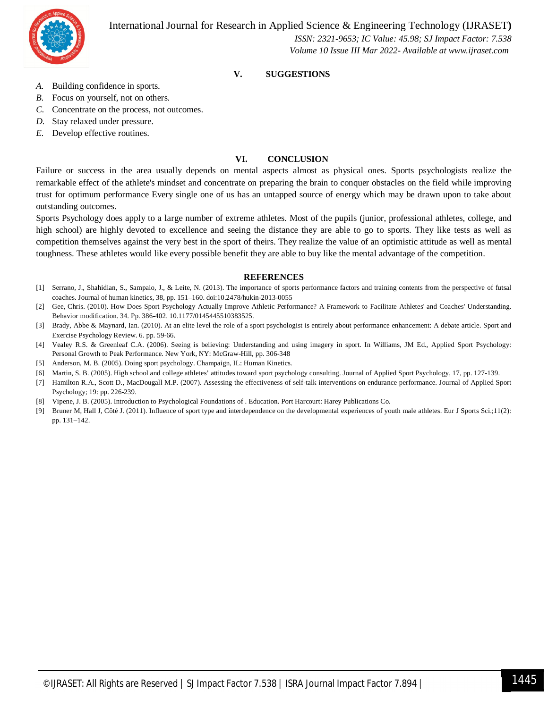## International Journal for Research in Applied Science & Engineering Technology (IJRASET**)**



 *ISSN: 2321-9653; IC Value: 45.98; SJ Impact Factor: 7.538 Volume 10 Issue III Mar 2022- Available at www.ijraset.com*

### **V. SUGGESTIONS**

- *A.* Building confidence in sports.
- *B.* Focus on yourself, not on others.
- *C.* Concentrate on the process, not outcomes.
- *D.* Stay relaxed under pressure.
- *E.* Develop effective routines.

#### **VI. CONCLUSION**

Failure or success in the area usually depends on mental aspects almost as physical ones. Sports psychologists realize the remarkable effect of the athlete's mindset and concentrate on preparing the brain to conquer obstacles on the field while improving trust for optimum performance Every single one of us has an untapped source of energy which may be drawn upon to take about outstanding outcomes.

Sports Psychology does apply to a large number of extreme athletes. Most of the pupils (junior, professional athletes, college, and high school) are highly devoted to excellence and seeing the distance they are able to go to sports. They like tests as well as competition themselves against the very best in the sport of theirs. They realize the value of an optimistic attitude as well as mental toughness. These athletes would like every possible benefit they are able to buy like the mental advantage of the competition.

#### **REFERENCES**

- [1] Serrano, J., Shahidian, S., Sampaio, J., & Leite, N. (2013). The importance of sports performance factors and training contents from the perspective of futsal coaches. Journal of human kinetics, 38, pp. 151–160. doi:10.2478/hukin-2013-0055
- [2] Gee, Chris. (2010). How Does Sport Psychology Actually Improve Athletic Performance? A Framework to Facilitate Athletes' and Coaches' Understanding. Behavior modification. 34. Pp. 386-402. 10.1177/0145445510383525.
- [3] Brady, Abbe & Maynard, Ian. (2010). At an elite level the role of a sport psychologist is entirely about performance enhancement: A debate article. Sport and Exercise Psychology Review. 6. pp. 59-66.
- [4] Vealey R.S. & Greenleaf C.A. (2006). Seeing is believing: Understanding and using imagery in sport. In Williams, JM Ed., Applied Sport Psychology: Personal Growth to Peak Performance. New York, NY: McGraw-Hill, pp. 306-348
- [5] Anderson, M. B. (2005). Doing sport psychology. Champaign, IL: Human Kinetics.
- [6] Martin, S. B. (2005). High school and college athletes' attitudes toward sport psychology consulting. Journal of Applied Sport Psychology, 17, pp. 127-139.
- [7] Hamilton R.A., Scott D., MacDougall M.P. (2007). Assessing the effectiveness of self-talk interventions on endurance performance. Journal of Applied Sport Psychology; 19: pp. 226-239.
- [8] Vipene, J. B. (2005). Introduction to Psychological Foundations of . Education. Port Harcourt: Harey Publications Co.
- [9] Bruner M, Hall J, Côté J. (2011). Influence of sport type and interdependence on the developmental experiences of youth male athletes. Eur J Sports Sci.;11(2): pp. 131–142.